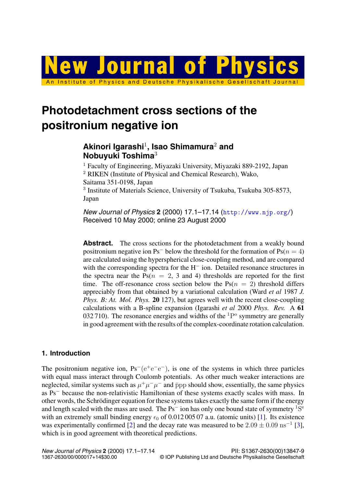# w Journal of An Institute of Physics and Deutsche Physikalische Gesellschaft Journal

# **Photodetachment cross sections of the positronium negative ion**

# **Akinori Igarashi**1**, Isao Shimamura**<sup>2</sup> **and Nobuyuki Toshima**<sup>3</sup>

<sup>1</sup> Faculty of Engineering, Miyazaki University, Miyazaki 889-2192, Japan <sup>2</sup> RIKEN (Institute of Physical and Chemical Research), Wako, Saitama 351-0198, Japan <sup>3</sup> Institute of Materials Science, University of Tsukuba, Tsukuba 305-8573, Japan

*New Journal of Physics* **2** (2000) 17.1–17.14 (<http://www.njp.org/>) Received 10 May 2000; online 23 August 2000

**Abstract.** The cross sections for the photodetachment from a weakly bound positronium negative ion Ps<sup>−</sup> below the threshold for the formation of Ps( $n = 4$ ) are calculated using the hyperspherical close-coupling method, and are compared with the corresponding spectra for the  $H^-$  ion. Detailed resonance structures in the spectra near the  $Ps(n = 2, 3 \text{ and } 4)$  thresholds are reported for the first time. The off-resonance cross section below the  $Ps(n = 2)$  threshold differs appreciably from that obtained by a variational calculation (Ward *et al* 1987 *J. Phys. B: At. Mol. Phys.* **20** 127), but agrees well with the recent close-coupling calculations with a B-spline expansion (Igarashi *et al* 2000 *Phys. Rev.* A **61** 032 710). The resonance energies and widths of the  ${}^{1}P^{\circ}$  symmetry are generally in good agreement with the results of the complex-coordinate rotation calculation.

# **1. Introduction**

The positronium negative ion,  $Ps^-(e^+e^-e^-)$ , is one of the systems in which three particles with equal mass interact through Coulomb potentials. As other much weaker interactions are neglected, similar systems such as  $\mu^+\mu^-\mu^-$  and ppp should show, essentially, the same physics as Ps<sup>−</sup> because the non-relativistic Hamiltonian of these systems exactly scales with mass. In other words, the Schrödinger equation for these systems takes exactly the same form if the energy and length scaled with the mass are used. The Ps<sup> $-$ </sup> ion has only one bound state of symmetry <sup>1</sup>S<sup>e</sup> with an extremely small binding energy  $\epsilon_0$  of 0.012 005 07 a.u. (atomic units) [\[1](#page-12-0)]. Its existence was experimentally confirmed [[2\]](#page-12-0) and the decay rate was measured to be  $2.09 \pm 0.09 \text{ ns}^{-1}$  [\[3](#page-12-0)], which is in good agreement with theoretical predictions.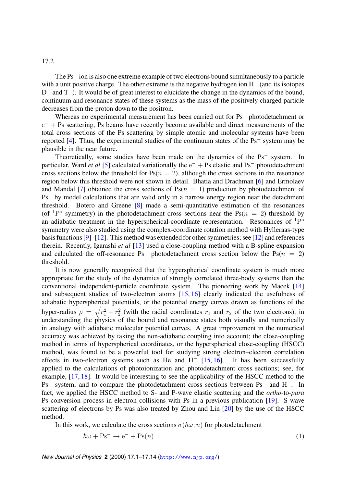The Ps<sup>−</sup> ion is also one extreme example of two electrons bound simultaneously to a particle with a unit positive charge. The other extreme is the negative hydrogen ion  $H^-$  (and its isotopes D<sup>−</sup> and T<sup>−</sup>). It would be of great interest to elucidate the change in the dynamics of the bound, continuum and resonance states of these systems as the mass of the positively charged particle decreases from the proton down to the positron.

Whereas no experimental measurement has been carried out for Ps<sup>−</sup> photodetachment or e<sup>−</sup> + Ps scattering, Ps beams have recently become available and direct measurements of the total cross sections of the Ps scattering by simple atomic and molecular systems have been reported [\[4](#page-12-0)]. Thus, the experimental studies of the continuum states of the Ps<sup>−</sup> system may be plausible in the near future.

Theoretically, some studies have been made on the dynamics of the Ps<sup>−</sup> system. In particular, Ward *et al* [[5\]](#page-12-0) calculated variationally the  $e^-$  + Ps elastic and Ps<sup>−</sup> photodetachment cross sections below the threshold for  $Ps(n = 2)$ , although the cross sections in the resonance region below this threshold were not shown in detail. Bhatia and Drachman [\[6](#page-12-0)] and Ermolaev and Mandal [\[7](#page-12-0)] obtained the cross sections of  $Ps(n = 1)$  production by photodetachment of Ps<sup>−</sup> by model calculations that are valid only in a narrow energy region near the detachment threshold. Botero and Greene [[8\]](#page-12-0) made a semi-quantitative estimation of the resonances (of <sup>1</sup>P<sup>o</sup> symmetry) in the photodetachment cross sections near the Ps( $n = 2$ ) threshold by an adiabatic treatment in the hyperspherical-coordinate representation. Resonances of  ${}^{1}P^{\circ}$ symmetry were also studied using the complex-coordinate rotation method with Hylleraas-type basis functions [\[9\]](#page-12-0)–[[12\]](#page-12-0). This method was extended for other symmetries; see [\[12](#page-12-0)] and references therein. Recently, Igarashi *et al* [[13](#page-12-0)] used a close-coupling method with a B-spline expansion and calculated the off-resonance Ps<sup>-</sup> photodetachment cross section below the Ps( $n = 2$ ) threshold.

It is now generally recognized that the hyperspherical coordinate system is much more appropriate for the study of the dynamics of strongly correlated three-body systems than the conventional independent-particle coordinate system. The pioneering work by Macek [\[14](#page-12-0)] and subsequent studies of two-electron atoms [\[15](#page-12-0), [16](#page-12-0)] clearly indicated the usefulness of adiabatic hyperspherical potentials, or the potential energy curves drawn as functions of the hyper-radius  $\rho = \sqrt{r_1^2 + r_2^2}$  (with the radial coordinates  $r_1$  and  $r_2$  of the two electrons), in understanding the physics of the bound and resonance states both visually and numerically in analogy with adiabatic molecular potential curves. A great improvement in the numerical accuracy was achieved by taking the non-adiabatic coupling into account; the close-coupling method in terms of hyperspherical coordinates, or the hyperspherical close-coupling (HSCC) method, was found to be a powerful tool for studying strong electron–electron correlation effects in two-electron systems such as He and H<sup>-</sup> [\[15,](#page-12-0) [16\]](#page-12-0). It has been successfully applied to the calculations of photoionization and photodetachment cross sections; see, for example, [[17,](#page-12-0) [18\]](#page-12-0). It would be interesting to see the applicability of the HSCC method to the Ps<sup>−</sup> system, and to compare the photodetachment cross sections between Ps<sup>−</sup> and H−. In fact, we applied the HSCC method to S- and P-wave elastic scattering and the *ortho*-to-*para* Ps conversion process in electron collisions with Ps in a previous publication [\[19](#page-13-0)]. S-wave scattering of electrons by Ps was also treated by Zhou and Lin [\[20](#page-13-0)] by the use of the HSCC method.

In this work, we calculate the cross sections  $\sigma(\hbar\omega; n)$  for photodetachment

$$
\hbar\omega + \text{Ps}^- \to e^- + \text{Ps}(n) \tag{1}
$$

*New Journal of Physics* **2** (2000) 17.1–17.14 (<http://www.njp.org/>)

17.2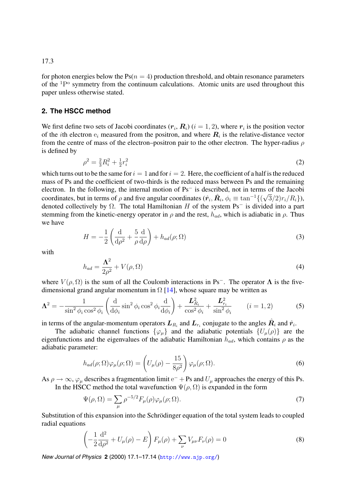<span id="page-2-0"></span>for photon energies below the  $Ps(n = 4)$  production threshold, and obtain resonance parameters of the  $1\text{P}^\text{o}$  symmetry from the continuum calculations. Atomic units are used throughout this paper unless otherwise stated.

## **2. The HSCC method**

We first define two sets of Jacobi coordinates  $(r_i, R_i)$  ( $i = 1, 2$ ), where  $r_i$  is the position vector of the *i*th electron  $e_i$  measured from the positron, and where  $R_i$  is the relative-distance vector from the centre of mass of the electron–positron pair to the other electron. The hyper-radius  $\rho$ is defined by

$$
\rho^2 = \frac{2}{3}R_i^2 + \frac{1}{2}r_i^2\tag{2}
$$

which turns out to be the same for  $i = 1$  and for  $i = 2$ . Here, the coefficient of a half is the reduced mass of Ps and the coefficient of two-thirds is the reduced mass between Ps and the remaining electron. In the following, the internal motion of Ps<sup>−</sup> is described, not in terms of the Jacobi coordinates, but in terms of  $\rho$  and five angular coordinates ( $\hat{r}_i$ ,  $\hat{R}_i$ ,  $\phi_i \equiv \tan^{-1}\{(\sqrt{3}/2)r_i/R_i\}$ ), denoted collectively by  $\Omega$ . The total Hamiltonian H of the system Ps<sup>-</sup> is divided into a part stemming from the kinetic-energy operator in  $\rho$  and the rest,  $h_{ad}$ , which is adiabatic in  $\rho$ . Thus we have

$$
H = -\frac{1}{2} \left( \frac{\mathrm{d}}{\mathrm{d}\rho^2} + \frac{5}{\rho} \frac{\mathrm{d}}{\mathrm{d}\rho} \right) + h_{ad}(\rho; \Omega) \tag{3}
$$

with

$$
h_{ad} = \frac{\Lambda^2}{2\rho^2} + V(\rho, \Omega) \tag{4}
$$

where  $V(\rho, \Omega)$  is the sum of all the Coulomb interactions in Ps<sup>-</sup>. The operator  $\Lambda$  is the fivedimensional grand angular momentum in  $\Omega$  [[14\]](#page-12-0), whose square may be written as

$$
\Lambda^2 = -\frac{1}{\sin^2 \phi_i \cos^2 \phi_i} \left( \frac{\mathrm{d}}{\mathrm{d}\phi_i} \sin^2 \phi_i \cos^2 \phi_i \frac{\mathrm{d}}{\mathrm{d}\phi_i} \right) + \frac{L_{R_i}^2}{\cos^2 \phi_i} + \frac{L_{r_i}^2}{\sin^2 \phi_i} \qquad (i = 1, 2) \tag{5}
$$

in terms of the angular-momentum operators  $L_{R_i}$  and  $L_{r_i}$  conjugate to the angles  $\hat{R}_i$  and  $\hat{r}_i$ .

The adiabatic channel functions  $\{\varphi_\mu\}$  and the adiabatic potentials  $\{U_\mu(\rho)\}\$  are the eigenfunctions and the eigenvalues of the adiabatic Hamiltonian  $h_{ad}$ , which contains  $\rho$  as the adiabatic parameter:

$$
h_{ad}(\rho;\Omega)\varphi_{\mu}(\rho;\Omega) = \left(U_{\mu}(\rho) - \frac{15}{8\rho^2}\right)\varphi_{\mu}(\rho;\Omega).
$$
\n(6)

As  $\rho \to \infty$ ,  $\varphi_{\mu}$  describes a fragmentation limit e<sup>-</sup> + Ps and  $U_{\mu}$  approaches the energy of this Ps. In the HSCC method the total wavefunction  $\Psi(\rho,\Omega)$  is expanded in the form

$$
\Psi(\rho,\Omega) = \sum_{\mu} \rho^{-5/2} F_{\mu}(\rho) \varphi_{\mu}(\rho;\Omega). \tag{7}
$$

Substitution of this expansion into the Schrödinger equation of the total system leads to coupled radial equations

$$
\left(-\frac{1}{2}\frac{d^2}{d\rho^2} + U_{\mu}(\rho) - E\right)F_{\mu}(\rho) + \sum_{\nu} V_{\mu\nu}F_{\nu}(\rho) = 0
$$
\n(8)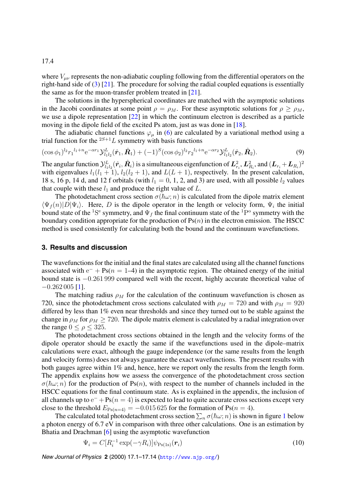<span id="page-3-0"></span>where  $V_{\mu\nu}$  represents the non-adiabatic coupling following from the differential operators on the right-hand side of [\(3\)](#page-2-0) [[21\]](#page-13-0). The procedure for solving the radial coupled equations is essentially the same as for the muon-transfer problem treated in [[21\]](#page-13-0).

The solutions in the hyperspherical coordinates are matched with the asymptotic solutions in the Jacobi coordinates at some point  $\rho = \rho_M$ . For these asymptotic solutions for  $\rho \ge \rho_M$ , we use a dipole representation [[22\]](#page-13-0) in which the continuum electron is described as a particle moving in the dipole field of the excited Ps atom, just as was done in [[18\]](#page-12-0).

The adiabatic channel functions  $\varphi_{\mu}$  in ([6\)](#page-2-0) are calculated by a variational method using a trial function for the  ${}^{2S+1}L$  symmetry with basis functions

$$
(\cos \phi_1)^{l_2} r_1^{l_1+n} e^{-\alpha r_1} \mathcal{Y}_{l_1 l_2}^L(\hat{\boldsymbol{r}}_1, \hat{\boldsymbol{R}}_1) + (-1)^S (\cos \phi_2)^{l_2} r_2^{l_1+n} e^{-\alpha r_2} \mathcal{Y}_{l_1 l_2}^L(\hat{\boldsymbol{r}}_2, \hat{\boldsymbol{R}}_2).
$$
\n(9)

The angular function  $\mathcal{Y}_{l_1l_2}^L(\hat{\bm{r}}_i, \hat{\bm{R}}_i)$  is a simultaneous eigenfunction of  $\bm{L}^2_{r_i}, \bm{L}^2_{R_i}$ , and  $(\bm{L}_{r_i} + \bm{L}_{R_i})^2$ with eigenvalues  $l_1(l_1 + 1)$ ,  $l_2(l_2 + 1)$ , and  $L(L + 1)$ , respectively. In the present calculation, 18 s, 16 p, 14 d, and 12 f orbitals (with  $l_1 = 0, 1, 2,$  and 3) are used, with all possible  $l_2$  values that couple with these  $l_1$  and produce the right value of  $L$ .

The photodetachment cross section  $\sigma(\hbar\omega; n)$  is calculated from the dipole matrix element  $\langle \Psi_f(n)|D|\Psi_i\rangle$ . Here, D is the dipole operator in the length or velocity form,  $\Psi_i$  the initial bound state of the <sup>1</sup>S<sup>e</sup> symmetry, and  $\Psi_f$  the final continuum state of the <sup>1</sup>P<sup>o</sup> symmetry with the boundary condition appropriate for the production of  $Ps(n)$  in the electron emission. The HSCC method is used consistently for calculating both the bound and the continuum wavefunctions.

### **3. Results and discussion**

The wavefunctions for the initial and the final states are calculated using all the channel functions associated with  $e^-$  + Ps( $n = 1$ –4) in the asymptotic region. The obtained energy of the initial bound state is −0.261 999 compared well with the recent, highly accurate theoretical value of −0.262 005 [\[1](#page-12-0)].

The matching radius  $\rho_M$  for the calculation of the continuum wavefunction is chosen as 720, since the photodetachment cross sections calculated with  $\rho_M = 720$  and with  $\rho_M = 920$ differed by less than 1% even near thresholds and since they turned out to be stable against the change in  $\rho_M$  for  $\rho_M \ge 720$ . The dipole matrix element is calculated by a radial integration over the range  $0 \le \rho \le 325$ .

The photodetachment cross sections obtained in the length and the velocity forms of the dipole operator should be exactly the same if the wavefunctions used in the dipole–matrix calculations were exact, although the gauge independence (or the same results from the length and velocity forms) does not always guarantee the exact wavefunctions. The present results with both gauges agree within 1% and, hence, here we report only the results from the length form. The appendix explains how we assess the convergence of the photodetachment cross section  $\sigma(\hbar\omega; n)$  for the production of Ps(n), with respect to the number of channels included in the HSCC equations for the final continuum state. As is explained in the appendix, the inclusion of all channels up to  $e^- + Ps(n = 4)$  is expected to lead to quite accurate cross sections except very close to the threshold  $E_{Ps(n=4)} = -0.015625$  for the formation of Ps( $n = 4$ ).

The calculated total photodetachment cross section  $\sum_n \sigma(\hbar\omega;n)$  is shown in figure [1](#page-4-0) below a photon energy of 6.7 eV in comparison with three other calculations. One is an estimation by Bhatia and Drachman [\[6](#page-12-0)] using the asymptotic wavefunction

$$
\Psi_i = C[R_i^{-1} \exp(-\gamma R_i)] \psi_{\text{Ps(1s)}}(\boldsymbol{r}_i)
$$
\n(10)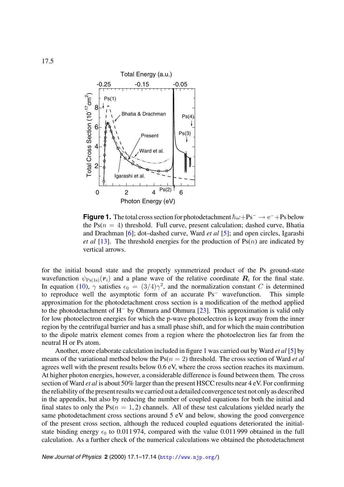<span id="page-4-0"></span>

**Figure 1.** The total cross section for photodetachment  $\hbar\omega + PS^- \rightarrow e^- + PS$  below the Ps $(n = 4)$  threshold. Full curve, present calculation; dashed curve, Bhatia and Drachman [\[6](#page-12-0)]; dot–dashed curve, Ward *et al* [\[5](#page-12-0)]; and open circles, Igarashi *et al* [[13](#page-12-0)]. The threshold energies for the production of  $Ps(n)$  are indicated by vertical arrows.

for the initial bound state and the properly symmetrized product of the Ps ground-state wavefunction  $\psi_{Ps(1s)}(\mathbf{r}_i)$  and a plane wave of the relative coordinate  $\mathbf{R}_i$  for the final state. In equation [\(10](#page-3-0)),  $\gamma$  satisfies  $\epsilon_0 = (3/4)\gamma^2$ , and the normalization constant C is determined to reproduce well the asymptotic form of an accurate Ps<sup>−</sup> wavefunction. This simple approximation for the photodetachment cross section is a modification of the method applied to the photodetachment of H<sup>−</sup> by Ohmura and Ohmura [\[23](#page-13-0)]. This approximation is valid only for low photoelectron energies for which the p-wave photoelectron is kept away from the inner region by the centrifugal barrier and has a small phase shift, and for which the main contribution to the dipole matrix element comes from a region where the photoelectron lies far from the neutral H or Ps atom.

Another, more elaborate calculation included in figure 1 was carried out by Ward *et al* [\[5](#page-12-0)] by means of the variational method below the  $Ps(n = 2)$  threshold. The cross section of Ward *et al* agrees well with the present results below 0.6 eV, where the cross section reaches its maximum. At higher photon energies, however, a considerable difference is found between them. The cross section of Ward *et al* is about 50% larger than the present HSCC results near 4 eV. For confirming the reliability of the present results we carried out a detailed convergence test not only as described in the appendix, but also by reducing the number of coupled equations for both the initial and final states to only the  $Ps(n = 1, 2)$  channels. All of these test calculations yielded nearly the same photodetachment cross sections around 5 eV and below, showing the good convergence of the present cross section, although the reduced coupled equations deteriorated the initialstate binding energy  $\epsilon_0$  to 0.011 974, compared with the value 0.011 999 obtained in the full calculation. As a further check of the numerical calculations we obtained the photodetachment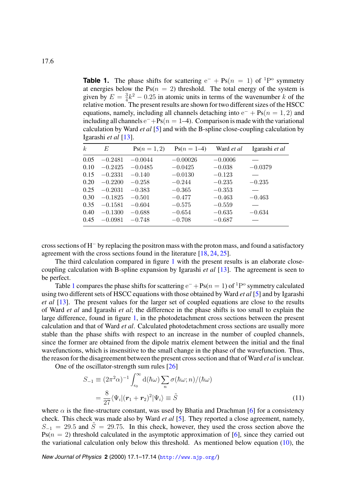**Table 1.** The phase shifts for scattering  $e^- + Ps(n = 1)$  of <sup>1</sup>P<sup>o</sup> symmetry at energies below the  $Ps(n = 2)$  threshold. The total energy of the system is given by  $E = \frac{3}{4}k^2 - 0.25$  in atomic units in terms of the wavenumber k of the relative motion. The present results are shown for two different sizes of the HSCC equations, namely, including all channels detaching into  $e^- + Ps(n = 1, 2)$  and including all channels  $e^-+Ps(n = 1-4)$ . Comparison is made with the variational calculation by Ward *et al* [\[5](#page-12-0)] and with the B-spline close-coupling calculation by Igarashi *et al* [\[13](#page-12-0)].

| $\boldsymbol{k}$ | E         | $Ps(n = 1, 2)$ | $Ps(n = 1-4)$ | Ward et al | Igarashi et al |
|------------------|-----------|----------------|---------------|------------|----------------|
| 0.05             | $-0.2481$ | $-0.0044$      | $-0.00026$    | $-0.0006$  |                |
| 0.10             | $-0.2425$ | $-0.0485$      | $-0.0425$     | $-0.038$   | $-0.0379$      |
| 0.15             | $-0.2331$ | $-0.140$       | $-0.0130$     | $-0.123$   |                |
| 0.20             | $-0.2200$ | $-0.258$       | $-0.244$      | $-0.235$   | $-0.235$       |
| 0.25             | $-0.2031$ | $-0.383$       | $-0.365$      | $-0.353$   |                |
| 0.30             | $-0.1825$ | $-0.501$       | $-0.477$      | $-0.463$   | $-0.463$       |
| 0.35             | $-0.1581$ | $-0.604$       | $-0.575$      | $-0.559$   |                |
| 0.40             | $-0.1300$ | $-0.688$       | $-0.654$      | $-0.635$   | $-0.634$       |
| 0.45             | $-0.0981$ | $-0.748$       | $-0.708$      | $-0.687$   |                |

cross sections of H<sup>−</sup> by replacing the positron mass with the proton mass, and found a satisfactory agreement with the cross sections found in the literature [[18,](#page-12-0) [24](#page-13-0), [25](#page-13-0)].

The third calculation compared in figure [1](#page-4-0) with the present results is an elaborate closecoupling calculation with B-spline expansion by Igarashi *et al* [[13\]](#page-12-0). The agreement is seen to be perfect.

Table 1 compares the phase shifts for scattering  $e^- + Ps(n = 1)$  of <sup>1</sup>P<sup>o</sup> symmetry calculated using two different sets of HSCC equations with those obtained by Ward *et al* [[5\]](#page-12-0) and by Igarashi *et al* [\[13](#page-12-0)]. The present values for the larger set of coupled equations are close to the results of Ward *et al* and Igarashi *et al*; the difference in the phase shifts is too small to explain the large difference, found in figure [1](#page-4-0), in the photodetachment cross sections between the present calculation and that of Ward *et al*. Calculated photodetachment cross sections are usually more stable than the phase shifts with respect to an increase in the number of coupled channels, since the former are obtained from the dipole matrix element between the initial and the final wavefunctions, which is insensitive to the small change in the phase of the wavefunction. Thus, the reason for the disagreement between the present cross section and that of Ward *et al* is unclear.

One of the oscillator-strength sum rules [[26\]](#page-13-0)

$$
S_{-1} \equiv (2\pi^2 \alpha)^{-1} \int_{\epsilon_0}^{\infty} d(\hbar \omega) \sum_n \sigma(\hbar \omega; n) / (\hbar \omega)
$$
  
= 
$$
\frac{8}{27} \langle \Psi_i | (\mathbf{r}_1 + \mathbf{r}_2)^2 | \Psi_i \rangle \equiv \tilde{S}
$$
 (11)

where  $\alpha$  is the fine-structure constant, was used by Bhatia and Drachman [[6\]](#page-12-0) for a consistency check. This check was made also by Ward *et al* [[5\]](#page-12-0). They reported a close agreement, namely,  $S_{-1}$  = 29.5 and  $\tilde{S}$  = 29.75. In this check, however, they used the cross section above the  $Ps(n = 2)$  threshold calculated in the asymptotic approximation of [[6\]](#page-12-0), since they carried out the variational calculation only below this threshold. As mentioned below equation ([10\)](#page-3-0), the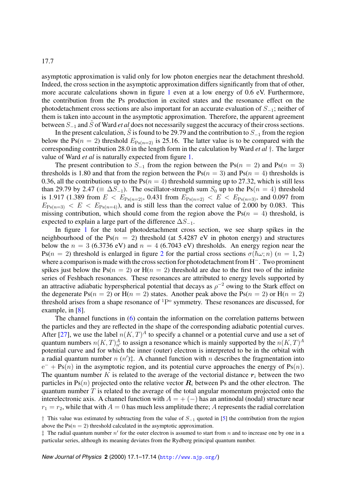asymptotic approximation is valid only for low photon energies near the detachment threshold. Indeed, the cross section in the asymptotic approximation differs significantly from that of other, more accurate calculations shown in figure [1](#page-4-0) even at a low energy of 0.6 eV. Furthermore, the contribution from the Ps production in excited states and the resonance effect on the photodetachment cross sections are also important for an accurate evaluation of S−<sup>1</sup>; neither of them is taken into account in the asymptotic approximation. Therefore, the apparent agreement between  $S_{-1}$  and  $\tilde{S}$  of Ward *et al* does not necessarily suggest the accuracy of their cross sections.

In the present calculation,  $\tilde{S}$  is found to be 29.79 and the contribution to  $S_{-1}$  from the region below the Ps( $n = 2$ ) threshold  $E_{Ps(n=2)}$  is 25.16. The latter value is to be compared with the corresponding contribution 28.0 in the length form in the calculation by Ward *et al* †. The larger value of Ward *et al* is naturally expected from figure [1](#page-4-0).

The present contribution to  $S_{-1}$  from the region between the Ps( $n = 2$ ) and Ps( $n = 3$ ) thresholds is 1.80 and that from the region between the  $Ps(n = 3)$  and  $Ps(n = 4)$  thresholds is 0.36, all the contributions up to the  $Ps(n = 4)$  threshold summing up to 27.32, which is still less than 29.79 by 2.47 ( $\equiv \Delta S_{-1}$ ). The oscillator-strength sum  $S_0$  up to the Ps( $n = 4$ ) threshold is 1.917 (1.389 from  $E < E_{Ps(n=2)}$ , 0.431 from  $E_{Ps(n=2)} < E < E_{Ps(n=3)}$ , and 0.097 from  $E_{\text{Ps}(n=3)} < E < E_{\text{Ps}(n=4)}$ , and is still less than the correct value of 2.000 by 0.083. This missing contribution, which should come from the region above the  $Ps(n = 4)$  threshold, is expected to explain a large part of the difference  $\Delta S_{-1}$ .

In figure [1](#page-4-0) for the total photodetachment cross section, we see sharp spikes in the neighbourhood of the Ps( $n = 2$ ) threshold (at 5.4287 eV in photon energy) and structures below the  $n = 3$  (6.3736 eV) and  $n = 4$  (6.7043 eV) thresholds. An energy region near the  $Ps(n = 2)$  $Ps(n = 2)$  $Ps(n = 2)$  threshold is enlarged in figure 2 for the partial cross sections  $\sigma(\hbar\omega; n)$  ( $n = 1, 2$ ) where a comparison is made with the cross section for photodetachment from H−. Two prominent spikes just below the Ps( $n = 2$ ) or H( $n = 2$ ) threshold are due to the first two of the infinite series of Feshbach resonances. These resonances are attributed to energy levels supported by an attractive adiabatic hyperspherical potential that decays as  $\rho^{-2}$  owing to the Stark effect on the degenerate Ps( $n = 2$ ) or H( $n = 2$ ) states. Another peak above the Ps( $n = 2$ ) or H( $n = 2$ ) threshold arises from a shape resonance of  ${}^{1}P^{\circ}$  symmetry. These resonances are discussed, for example, in [[8\]](#page-12-0).

The channel functions in ([6\)](#page-2-0) contain the information on the correlation patterns between the particles and they are reflected in the shape of the corresponding adiabatic potential curves. After [\[27](#page-13-0)], we use the label  $n(K,T)^{A}$  to specify a channel or a potential curve and use a set of quantum numbers  $n(K,T)_{n'}^A$  to assign a resonance which is mainly supported by the  $n(K,T)^A$ potential curve and for which the inner (outer) electron is interpreted to be in the orbital with a radial quantum number  $n(n')$  . A channel function with  $n$  describes the fragmentation into  $e^-$  + Ps(n) in the asymptotic region, and its potential curve approaches the energy of Ps(n). The quantum number K is related to the average of the vectorial distance  $r_i$  between the two particles in  $Ps(n)$  projected onto the relative vector  $R_i$  between Ps and the other electron. The quantum number  $T$  is related to the average of the total angular momentum projected onto the interelectronic axis. A channel function with  $A = +(-)$  has an antinodal (nodal) structure near  $r_1 = r_2$ , while that with  $A = 0$  has much less amplitude there; A represents the radial correlation

<sup>†</sup> This value was estimated by subtracting from the value of  $S_{-1}$  quoted in [\[5](#page-12-0)] the contribution from the region above the  $Ps(n = 2)$  threshold calculated in the asymptotic approximation.

 $\ddagger$  The radial quantum number n' for the outer electron is assumed to start from n and to increase one by one in a particular series, although its meaning deviates from the Rydberg principal quantum number.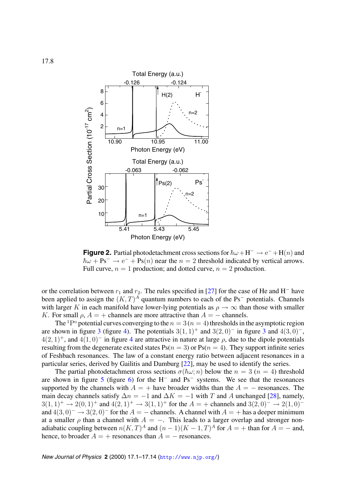<span id="page-7-0"></span>

**Figure 2.** Partial photodetachment cross sections for  $\hbar\omega + H^- \rightarrow e^- + H(n)$  and  $\hbar\omega + \text{Ps}^- \rightarrow e^- + \text{Ps}(n)$  near the  $n = 2$  threshold indicated by vertical arrows. Full curve,  $n = 1$  production; and dotted curve,  $n = 2$  production.

or the correlation between  $r_1$  and  $r_2$ . The rules specified in [\[27](#page-13-0)] for the case of He and H<sup>-</sup> have been applied to assign the  $(K,T)^A$  quantum numbers to each of the Ps<sup>−</sup> potentials. Channels with larger K in each manifold have lower-lying potentials as  $\rho \to \infty$  than those with smaller K. For small  $\rho$ ,  $A = +$  channels are more attractive than  $A = -$  channels.

The <sup>1</sup>P<sup>o</sup> potential curves converging to the  $n = 3 (n = 4)$  thresholds in the asymptotic region are shown in figure [3](#page-8-0) (figure [4](#page-8-0)). The potentials  $3(1, 1)^+$  and  $3(2, 0)^-$  in figure 3 and  $4(3, 0)^-$ ,  $4(2, 1)^{+}$  $4(2, 1)^{+}$ , and  $4(1, 0)^{-}$  in figure 4 are attractive in nature at large  $\rho$ , due to the dipole potentials resulting from the degenerate excited states  $Ps(n = 3)$  or  $Ps(n = 4)$ . They support infinite series of Feshbach resonances. The law of a constant energy ratio between adjacent resonances in a particular series, derived by Gailitis and Damburg [\[22](#page-13-0)], may be used to identify the series.

The partial photodetachment cross sections  $\sigma(\hbar\omega; n)$  below the  $n = 3$  ( $n = 4$ ) threshold are shown in figure [5](#page-9-0) (figure [6\)](#page-10-0) for the  $H^-$  and Ps<sup>-</sup> systems. We see that the resonances supported by the channels with  $A = +$  have broader widths than the  $A = -$  resonances. The main decay channels satisfy  $\Delta n = -1$  and  $\Delta K = -1$  with T and A unchanged [[28\]](#page-13-0), namely,  $3(1,1)^+ \rightarrow 2(0,1)^+$  and  $4(2,1)^+ \rightarrow 3(1,1)^+$  for the  $A = +$  channels and  $3(2,0)^- \rightarrow 2(1,0)^$ and  $4(3,0)^{-} \rightarrow 3(2,0)^{-}$  for the  $A = -$  channels. A channel with  $A = +$  has a deeper minimum at a smaller  $\rho$  than a channel with  $A = -$ . This leads to a larger overlap and stronger nonadiabatic coupling between  $n(K,T)^A$  and  $(n-1)(K-1,T)^A$  for  $A = +$  than for  $A = -$  and, hence, to broader  $A = +$  resonances than  $A = -$  resonances.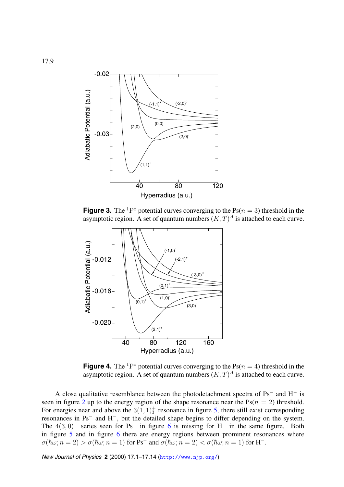

**Figure 3.** The <sup>1</sup>P<sup>o</sup> potential curves converging to the  $Ps(n = 3)$  threshold in the asymptotic region. A set of quantum numbers  $(K,T)^A$  is attached to each curve.



**Figure 4.** The <sup>1</sup>P<sup>o</sup> potential curves converging to the  $Ps(n = 4)$  threshold in the asymptotic region. A set of quantum numbers  $(K,T)^A$  is attached to each curve.

A close qualitative resemblance between the photodetachment spectra of Ps<sup>−</sup> and H<sup>−</sup> is seen in figure [2](#page-7-0) up to the energy region of the shape resonance near the  $Ps(n = 2)$  threshold. For energies near and above the  $3(1,1)_3^+$  resonance in figure [5,](#page-9-0) there still exist corresponding resonances in Ps<sup>−</sup> and H−, but the detailed shape begins to differ depending on the system. The  $4(3,0)$ <sup>-</sup> series seen for Ps<sup>-</sup> in figure [6](#page-10-0) is missing for H<sup>-</sup> in the same figure. Both in figure [5](#page-9-0) and in figure [6](#page-10-0) there are energy regions between prominent resonances where  $\sigma(\hbar\omega; n=2) > \sigma(\hbar\omega; n=1)$  for Ps<sup>-</sup> and  $\sigma(\hbar\omega; n=2) < \sigma(\hbar\omega; n=1)$  for H<sup>-</sup>.

*New Journal of Physics* **2** (2000) 17.1–17.14 (<http://www.njp.org/>)

<span id="page-8-0"></span>17.9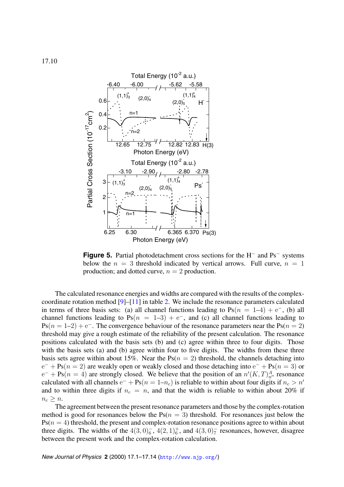<span id="page-9-0"></span>

**Figure 5.** Partial photodetachment cross sections for the H<sup>−</sup> and Ps<sup>−</sup> systems below the  $n = 3$  threshold indicated by vertical arrows. Full curve,  $n = 1$ production; and dotted curve,  $n = 2$  production.

The calculated resonance energies and widths are compared with the results of the complexcoordinate rotation method  $[9]-[11]$  $[9]-[11]$  $[9]-[11]$  $[9]-[11]$  in table [2.](#page-11-0) We include the resonance parameters calculated in terms of three basis sets: (a) all channel functions leading to  $Ps(n = 1-4) + e^{-}$ , (b) all channel functions leading to Ps( $n = 1-3$ ) + e<sup>-</sup>, and (c) all channel functions leading to  $Ps(n = 1-2) + e^{-}$ . The convergence behaviour of the resonance parameters near the Ps( $n = 2$ ) threshold may give a rough estimate of the reliability of the present calculation. The resonance positions calculated with the basis sets (b) and (c) agree within three to four digits. Those with the basis sets (a) and (b) agree within four to five digits. The widths from these three basis sets agree within about 15%. Near the  $Ps(n = 2)$  threshold, the channels detaching into  $e^- + Ps(n = 2)$  are weakly open or weakly closed and those detaching into  $e^- + Ps(n = 3)$  or  $e^-$  + Ps( $n = 4$ ) are strongly closed. We believe that the position of an  $n'(K,T)_{n''}^A$  resonance calculated with all channels  $e^- + Ps(n = 1-n_c)$  is reliable to within about four digits if  $n_c > n'$ and to within three digits if  $n_c = n$ , and that the width is reliable to within about 20% if  $n_c \geq n$ .

The agreement between the present resonance parameters and those by the complex-rotation method is good for resonances below the  $Ps(n = 3)$  threshold. For resonances just below the  $Ps(n = 4)$  threshold, the present and complex-rotation resonance positions agree to within about three digits. The widths of the  $4(3,0)_6^-$ ,  $4(2,1)_6^+$ , and  $4(3,0)_7^-$  resonances, however, disagree between the present work and the complex-rotation calculation.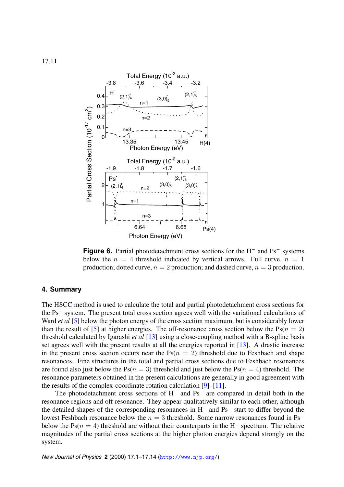<span id="page-10-0"></span>

**Figure 6.** Partial photodetachment cross sections for the H<sup>−</sup> and Ps<sup>−</sup> systems below the  $n = 4$  threshold indicated by vertical arrows. Full curve,  $n = 1$ production; dotted curve,  $n = 2$  production; and dashed curve,  $n = 3$  production.

### **4. Summary**

The HSCC method is used to calculate the total and partial photodetachment cross sections for the Ps<sup>−</sup> system. The present total cross section agrees well with the variational calculations of Ward *et al* [[5\]](#page-12-0) below the photon energy of the cross section maximum, but is considerably lower than the result of [[5\]](#page-12-0) at higher energies. The off-resonance cross section below the  $Ps(n = 2)$ threshold calculated by Igarashi *et al* [[13\]](#page-12-0) using a close-coupling method with a B-spline basis set agrees well with the present results at all the energies reported in [[13\]](#page-12-0). A drastic increase in the present cross section occurs near the  $Ps(n = 2)$  threshold due to Feshbach and shape resonances. Fine structures in the total and partial cross sections due to Feshbach resonances are found also just below the Ps( $n = 3$ ) threshold and just below the Ps( $n = 4$ ) threshold. The resonance parameters obtained in the present calculations are generally in good agreement with the results of the complex-coordinate rotation calculation [\[9](#page-12-0)]–[\[11](#page-12-0)].

The photodetachment cross sections of H<sup>−</sup> and Ps<sup>−</sup> are compared in detail both in the resonance regions and off resonance. They appear qualitatively similar to each other, although the detailed shapes of the corresponding resonances in H<sup>−</sup> and Ps<sup>−</sup> start to differ beyond the lowest Feshbach resonance below the  $n = 3$  threshold. Some narrow resonances found in Ps<sup>−</sup> below the Ps( $n = 4$ ) threshold are without their counterparts in the H<sup>-</sup> spectrum. The relative magnitudes of the partial cross sections at the higher photon energies depend strongly on the system.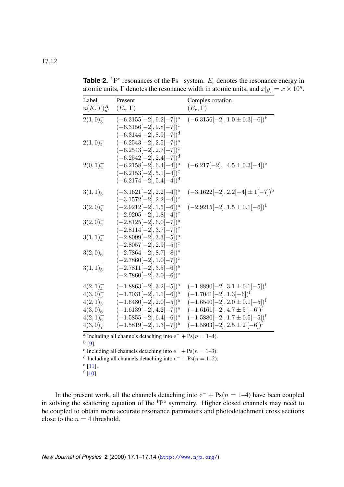| Label                                                                                   | Present                                                                                           | ⊾∽ ⊥<br>Complex rotation                                                        |  |  |  |  |
|-----------------------------------------------------------------------------------------|---------------------------------------------------------------------------------------------------|---------------------------------------------------------------------------------|--|--|--|--|
| $n(K,T)_{n'}^A$                                                                         | $(E_r, \Gamma)$                                                                                   | $(E_r, \Gamma)$                                                                 |  |  |  |  |
| $2(1,0)^{-}_{3}$                                                                        | $(-6.3155[-2], 9.2[-7])$ <sup>a</sup><br>$(-6.3156[-2], 9.8[-7])^c$<br>$(-6.3144[-2], 8.9[-7])^d$ | $(-6.3156[-2], 1.0 \pm 0.3[-6])^{\rm b}$                                        |  |  |  |  |
| 2(1,0) <sub>4</sub>                                                                     | $(-6.2543[-2], 2.5[-7])$ <sup>a</sup><br>$(-6.2543[-2], 2.7[-7])^c$<br>$(-6.2542[-2], 2.4[-7])^d$ |                                                                                 |  |  |  |  |
| 2(0,1) <sub>2</sub>                                                                     | $(-6.2158[-2], 6.4[-4])^{\rm a}$<br>$(-6.2153[-2], 5.1[-4])^c$<br>$(-6.2174[-2], 5.4[-4])^d$      | $(-6.217[-2], 4.5 \pm 0.3[-4])^e$                                               |  |  |  |  |
| $3(1,1)3+$                                                                              | $(-3.1621[-2], 2.2[-4])^{\rm a}$<br>$(-3.1572[-2], 2.2[-4])^c$                                    | $(-3.1622[-2], 2.2[-4] \pm 1[-7])^{\rm b}$                                      |  |  |  |  |
| 3(2,0) <sub>4</sub>                                                                     | $(-2.9212[-2], 1.5[-6])^{\rm a}$<br>$(-2.9205[-2], 1.8[-4])^c$                                    | $(-2.9215[-2], 1.5 \pm 0.1[-6])^{\rm b}$                                        |  |  |  |  |
| $3(2,0)_{5}^{-}$                                                                        | $(-2.8125[-2], 6.0[-7])^{\rm a}$<br>$(-2.8114[-2], 3.7[-7])^c$                                    |                                                                                 |  |  |  |  |
| 3(1,1) <sub>4</sub>                                                                     | $(-2.8099[-2], 3.3[-5])^{\rm a}$<br>$(-2.8057[-2], 2.9[-5])^c$                                    |                                                                                 |  |  |  |  |
| 3(2,0) <sub>6</sub>                                                                     | $(-2.7864[-2], 8.7[-8])$ <sup>a</sup><br>$(-2.7860[-2], 1.0[-7])^c$                               |                                                                                 |  |  |  |  |
| 3(1,1) <sub>5</sub>                                                                     | $(-2.7811[-2], 3.5[-6])^{\rm a}$<br>$(-2.7860[-2], 3.0[-6])^c$                                    |                                                                                 |  |  |  |  |
| 4(2,1) <sub>4</sub><br>$4(3,0)_{5}^{-}$                                                 | $(-1.8863[-2], 3.2[-5])^{\rm a}$<br>$(-1.7031[-2], 1.1[-6])^a$                                    | $(-1.8890[-2], 3.1 \pm 0.1[-5])^{\text{f}}$<br>$(-1.7041[-2], 1.3[-6])^{\rm f}$ |  |  |  |  |
| $4(2,1)^+$                                                                              | $(-1.6480[-2], 2.0[-5])^{\rm a}$                                                                  | $(-1.6540[-2], 2.0 \pm 0.1[-5])^{\text{f}}$                                     |  |  |  |  |
| 4(3,0) <sub>6</sub>                                                                     | $(-1.6139[-2], 4.2[-7])^{\rm a}$                                                                  | $(-1.6161[-2], 4.7 \pm 5, [-6])^{\text{f}}$                                     |  |  |  |  |
| 4(2,1) <sub>6</sub>                                                                     | $(-1.5855[-2], 6.4[-6])^{\rm a}$                                                                  | $(-1.5880[-2], 1.7 \pm 0.5[-5])^{\text{f}}$                                     |  |  |  |  |
| $4(3,0)_{7}^{-}$                                                                        | $(-1.5819[-2], 1.3[-7])$ <sup>a</sup>                                                             | $(-1.5803[-2], 2.5 \pm 2, [-6])^{\text{f}}$                                     |  |  |  |  |
| <sup>a</sup> Including all channels detaching into $e^- + Ps(n = 1-4)$ .<br>$^{b}$ [9]. |                                                                                                   |                                                                                 |  |  |  |  |
| <sup>c</sup> Including all channels detaching into $e^- + Ps(n = 1-3)$ .                |                                                                                                   |                                                                                 |  |  |  |  |
| <sup>d</sup> Including all channels detaching into $e^- + Ps(n = 1-2)$ .                |                                                                                                   |                                                                                 |  |  |  |  |

<span id="page-11-0"></span>**Table 2.** <sup>1</sup>P<sup>o</sup> resonances of the Ps<sup> $-$ </sup> system.  $E_r$  denotes the resonance energy in atomic units,  $\Gamma$  denotes the resonance width in atomic units, and  $x[y] = x \times 10^y$ .

 $e$  [[11\]](#page-12-0).  $f$  [\[10](#page-12-0)].

In the present work, all the channels detaching into  $e^- + Ps(n = 1-4)$  have been coupled in solving the scattering equation of the  ${}^{1}P^{\circ}$  symmetry. Higher closed channels may need to be coupled to obtain more accurate resonance parameters and photodetachment cross sections close to the  $n = 4$  threshold.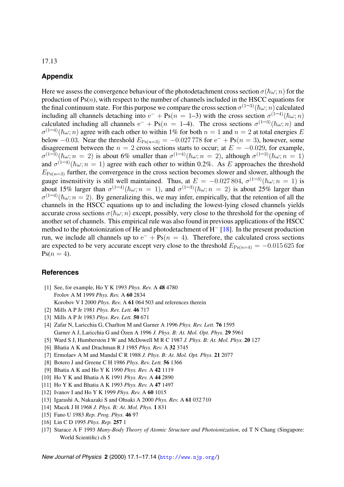#### <span id="page-12-0"></span>**Appendix**

Here we assess the convergence behaviour of the photodetachment cross section  $\sigma(\hbar\omega;\ n)$  for the production of  $Ps(n)$ , with respect to the number of channels included in the HSCC equations for the final continuum state. For this purpose we compare the cross section  $\sigma^{(1-3)}(\hbar\omega; n)$  calculated including all channels detaching into  $e^- + Ps(n = 1-3)$  with the cross section  $\sigma^{(1-4)}(\hbar\omega; n)$ calculated including all channels  $e^- + Ps(n = 1-4)$ . The cross sections  $\sigma^{(1-3)}(\hbar\omega; n)$  and  $\sigma^{(1-4)}(\hbar\omega; n)$  agree with each other to within 1% for both  $n = 1$  and  $n = 2$  at total energies E below −0.03. Near the threshold  $E_{Ps(n=3)} = -0.027778$  for  $e^- + Ps(n=3)$ , however, some disagreement between the  $n = 2$  cross sections starts to occur; at  $E = -0.029$ , for example,  $\sigma^{(1-3)}(\hbar\omega; n = 2)$  is about 6% smaller than  $\sigma^{(1-4)}(\hbar\omega; n = 2)$ , although  $\sigma^{(1-3)}(\hbar\omega; n = 1)$ and  $\sigma^{(1-4)}(\hbar\omega; n = 1)$  agree with each other to within 0.2%. As E approaches the threshold  $E_{\text{Ps}(n=3)}$  further, the convergence in the cross section becomes slower and slower, although the gauge insensitivity is still well maintained. Thus, at  $E = -0.027804$ ,  $\sigma^{(1-3)}(\hbar\omega; n = 1)$  is about 15% larger than  $\sigma^{(1-4)}(\hbar\omega; n = 1)$ , and  $\sigma^{(1-3)}(\hbar\omega; n = 2)$  is about 25% larger than  $\sigma^{(1-4)}(\hbar\omega; n = 2)$ . By generalizing this, we may infer, empirically, that the retention of all the channels in the HSCC equations up to and including the lowest-lying closed channels yields accurate cross sections  $\sigma(\hbar\omega; n)$  except, possibly, very close to the threshold for the opening of another set of channels. This empirical rule was also found in previous applications of the HSCC method to the photoionization of He and photodetachment of H<sup>−</sup> [18]. In the present production run, we include all channels up to  $e^- + Ps(n = 4)$ . Therefore, the calculated cross sections are expected to be very accurate except very close to the threshold  $E_{Ps(n=4)} = -0.015625$  for  $Ps(n = 4)$ .

#### **References**

- [1] See, for example, Ho Y K 1993 *Phys. Rev.* A **48** 4780 Frolov A M 1999 *Phys. Rev.* A **60** 2834 Korobov V I 2000 *Phys. Rev.* A **61** 064 503 and references therein
- [2] Mills A P Jr 1981 *Phys. Rev. Lett.* **46** 717
- [3] Mills A P Jr 1983 *Phys. Rev. Lett.* **50** 671
- [4] Zafar N, Laricchia G, Charlton M and Garner A 1996 *Phys. Rev. Lett.* **76** 1595 Garner A J, Laricchia G and Özen A 1996 *J. Phys. B: At. Mol. Opt. Phys.* **29** 5961
- [5] Ward S J, Humberston J W and McDowellMRC 1987 *J. Phys. B: At. Mol. Phys.* **20** 127
- [6] Bhatia A K and Drachman R J 1985 *Phys. Rev.* A **32** 3745
- [7] Ermolaev A M and Mandal C R 1988 *J. Phys. B: At. Mol. Opt. Phys.* **21** 2077
- [8] Botero J and Greene C H 1986 *Phys. Rev. Lett.* **56** 1366
- [9] Bhatia A K and Ho Y K 1990 *Phys. Rev.* A **42** 1119
- [10] Ho Y K and Bhatia A K 1991 *Phys. Rev.* A **44** 2890
- [11] Ho Y K and Bhatia A K 1993 *Phys. Rev.* A **47** 1497
- [12] Ivanov I and Ho Y K 1999 *Phys. Rev.* A **60** 1015
- [13] Igarashi A, Nakazaki S and Ohsaki A 2000 *Phys. Rev.* A **61** 032 710
- [14] Macek J H 1968 *J. Phys. B: At. Mol. Phys.* **1** 831
- [15] Fano U 1983 *Rep. Prog. Phys.* **46** 97
- [16] Lin C D 1995 *Phys. Rep.* **257** 1
- [17] Starace A F 1993 *Many-Body Theory of Atomic Structure and Photoionization*, ed T N Chang (Singapore: World Scientific) ch 5